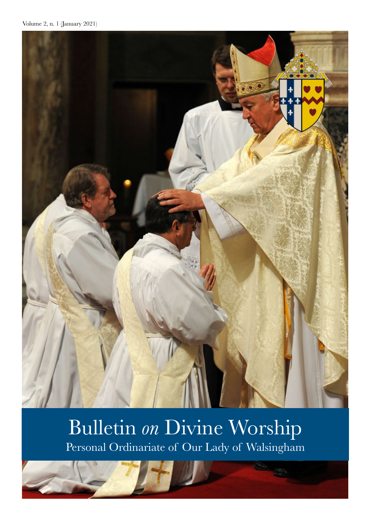

# Bulletin *on* Divine Worship Personal Ordinariate of Our Lady of Walsingham

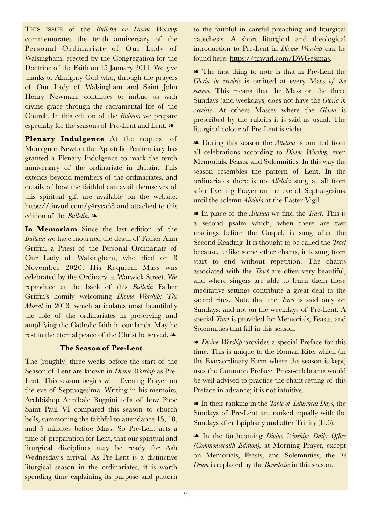Monsignor Newton the Apostolic Penitentiary has granted a Plenary Indulgence to mark the tenth anniversary of the ordinariate in Britain. This extends beyond members of the ordinariates, and details of how the faithful can avail themselves of this spiritual gift are available on the website: https://tinyurl.com/y4ryca68 and attached to this edition of the *Bulletin*. ❧ **In Memoriam** Since the last edition of the

*Bulletin* we have mourned the death of Father Alan Griffin, a Priest of the Personal Ordinariate of Our Lady of Walsingham, who died on 8 November 2020. His Requiem Mass was celebrated by the Ordinary at Warwick Street. We reproduce at the back of this *Bulletin* Father Griffin's homily welcoming *Divine Worship: The Missal* in 2013*,* which articulates most beautifully the role of the ordinariates in preserving and amplifying the Catholic faith in our lands. May he rest in the eternal peace of the Christ he served. ❧

THIS ISSUE of the *Bulletin on Divine Worship* commemorates the tenth anniversary of the Personal Ordinariate of Our Lady of Walsingham, erected by the Congregation for the Doctrine of the Faith on 15 January 2011. We give thanks to Almighty God who, through the prayers of Our Lady of Walsingham and Saint John Henry Newman, continues to imbue us with divine grace through the sacramental life of the Church. In this edition of the *Bulletin* we prepare especially for the seasons of Pre-Lent and Lent. ❧

**Plenary Indulgence** At the request of

## **The Season of Pre-Lent**

The (roughly) three weeks before the start of the Season of Lent are known in *Divine Worship* as Pre-Lent. This season begins with Evening Prayer on the eve of Septuagesima. Writing in his memoirs, Archbishop Annibale Bugnini tells of how Pope Saint Paul VI compared this season to church bells, summoning the faithful to attendance 15, 10, and 5 minutes before Mass. So Pre-Lent acts a time of preparation for Lent, that our spiritual and liturgical disciplines may be ready for Ash Wednesday's arrival. As Pre-Lent is a distinctive liturgical season in the ordinariates, it is worth spending time explaining its purpose and pattern

to the faithful in careful preaching and liturgical catechesis. A short liturgical and theological introduction to Pre-Lent in *Divine Worship* can be found here: https://tinyurl.com/DWGesimas.

❧ The first thing to note is that in Pre-Lent the *Gloria in excelsis* is omitted at every Mass *of the season.* This means that the Mass on the three Sundays (and weekdays) does not have the *Gloria in excelsis.* At others Masses where the *Gloria* is prescribed by the rubrics it is said as usual. The liturgical colour of Pre-Lent is violet.

❧ During this season the *Alleluia* is omitted from all celebrations according to *Divine Worship,* even Memorials, Feasts, and Solemnities. In this way the season resembles the pattern of Lent. In the ordinariates there is no *Alleluia* sung at all from after Evening Prayer on the eve of Septuagesima until the solemn *Alleluia* at the Easter Vigil.

❧ In place of the *Alleluia* we find the *Tract*. This is a second psalm which, when there are two readings before the Gospel, is sung after the Second Reading. It is thought to be called the *Tract* because, unlike some other chants, it is sung from start to end without repetition. The chants associated with the *Tract* are often very beautiful, and where singers are able to learn them these meditative settings contribute a great deal to the sacred rites. Note that the *Tract* is said only on Sundays, and not on the weekdays of Pre-Lent. A special *Tract* is provided for Memorials, Feasts, and Solemnities that fall in this season.

❧ *Divine Worship* provides a special Preface for this time. This is unique to the Roman Rite, which (in the Extraordinary Form where the season is kept) uses the Common Preface. Priest-celebrants would be well-advised to practice the chant setting of this Preface in advance; it is not intuitive.

❧ In their ranking in the *Table of Liturgical Days,* the Sundays of Pre-Lent are ranked equally with the Sundays after Epiphany and after Trinity (II.6).

❧ In the forthcoming *Divine Worship: Daily Office (Commonwealth Edition),* at Morning Prayer, except on Memorials, Feasts, and Solemnities, the *Te Deum* is replaced by the *Benedicite* in this season.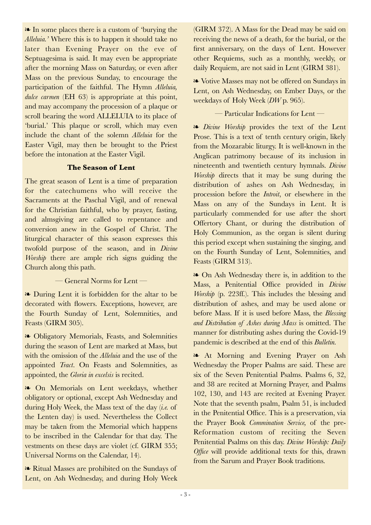❧ In some places there is a custom of 'burying the *Alleluia.'* Where this is to happen it should take no later than Evening Prayer on the eve of Septuagesima is said. It may even be appropriate after the morning Mass on Saturday, or even after Mass on the previous Sunday, to encourage the participation of the faithful. The Hymn *Alleluia, dulce carmen* (EH 63) is appropriate at this point, and may accompany the procession of a plaque or scroll bearing the word ALLELUIA to its place of 'burial.' This plaque or scroll, which may even include the chant of the solemn *Alleluia* for the Easter Vigil, may then be brought to the Priest before the intonation at the Easter Vigil.

#### **The Season of Lent**

The great season of Lent is a time of preparation for the catechumens who will receive the Sacraments at the Paschal Vigil, and of renewal for the Christian faithful, who by prayer, fasting, and almsgiving are called to repentance and conversion anew in the Gospel of Christ. The liturgical character of this season expresses this twofold purpose of the season, and in *Divine Worship* there are ample rich signs guiding the Church along this path.

— General Norms for Lent —

❧ During Lent it is forbidden for the altar to be decorated with flowers. Exceptions, however, are the Fourth Sunday of Lent, Solemnities, and Feasts (GIRM 305).

❧ Obligatory Memorials, Feasts, and Solemnities during the season of Lent are marked at Mass, but with the omission of the *Alleluia* and the use of the appointed *Tract*. On Feasts and Solemnities, as appointed, the *Gloria in excelsis* is recited.

❧ On Memorials on Lent weekdays, whether obligatory or optional, except Ash Wednesday and during Holy Week, the Mass text of the day (*i.e.* of the Lenten day) is used. Nevertheless the Collect may be taken from the Memorial which happens to be inscribed in the Calendar for that day. The vestments on these days are violet (cf. GIRM 355; Universal Norms on the Calendar, 14).

❧ Ritual Masses are prohibited on the Sundays of Lent, on Ash Wednesday, and during Holy Week (GIRM 372). A Mass for the Dead may be said on receiving the news of a death, for the burial, or the first anniversary, on the days of Lent. However other Requiems, such as a monthly, weekly, or daily Requiem, are not said in Lent (GIRM 381).

❧ Votive Masses may not be offered on Sundays in Lent, on Ash Wednesday, on Ember Days, or the weekdays of Holy Week (*DW* p. 965).

— Particular Indications for Lent —

❧ *Divine Worship* provides the text of the Lent Prose. This is a text of tenth century origin, likely from the Mozarabic liturgy. It is well-known in the Anglican patrimony because of its inclusion in nineteenth and twentieth century hymnals. *Divine Worship* directs that it may be sung during the distribution of ashes on Ash Wednesday, in procession before the *Introit*, or elsewhere in the Mass on any of the Sundays in Lent. It is particularly commended for use after the short Offertory Chant, or during the distribution of Holy Communion, as the organ is silent during this period except when sustaining the singing, and on the Fourth Sunday of Lent, Solemnities, and Feasts (GIRM 313).

❧ On Ash Wednesday there is, in addition to the Mass, a Penitential Office provided in *Divine Worship* (p. 223ff.). This includes the blessing and distribution of ashes, and may be used alone or before Mass. If it is used before Mass, the *Blessing and Distribution of Ashes during Mass* is omitted. The manner for distributing ashes during the Covid-19 pandemic is described at the end of this *Bulletin.*

❧ At Morning and Evening Prayer on Ash Wednesday the Proper Psalms are said. These are six of the Seven Penitential Psalms. Psalms 6, 32, and 38 are recited at Morning Prayer, and Psalms 102, 130, and 143 are recited at Evening Prayer. Note that the seventh psalm, Psalm 51, is included in the Penitential Office. This is a preservation, via the Prayer Book *Commination Service,* of the pre-Reformation custom of reciting the Seven Penitential Psalms on this day. *Divine Worship: Daily Office* will provide additional texts for this, drawn from the Sarum and Prayer Book traditions.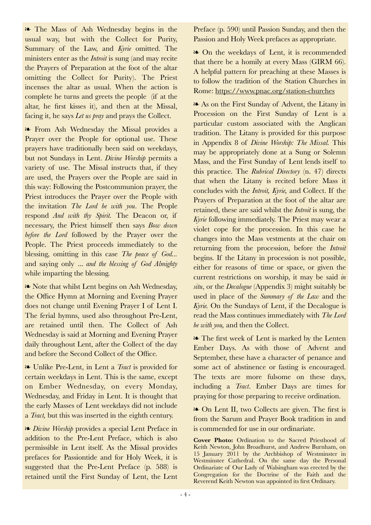❧ The Mass of Ash Wednesday begins in the usual way, but with the Collect for Purity, Summary of the Law, and *Kyrie* omitted. The ministers enter as the *Introit* is sung (and may recite the Prayers of Preparation at the foot of the altar omitting the Collect for Purity). The Priest incenses the altar as usual. When the action is complete he turns and greets the people (if at the altar, he first kisses it), and then at the Missal, facing it, he says *Let us pray* and prays the Collect.

❧ From Ash Wednesday the Missal provides a Prayer over the People for optional use. These prayers have traditionally been said on weekdays, but not Sundays in Lent. *Divine Worship* permits a variety of use. The Missal instructs that, if they are used, the Prayers over the People are said in this way: Following the Postcommunion prayer, the Priest introduces the Prayer over the People with the invitation *The Lord be with you*. The People respond *And with thy Spirit.* The Deacon or, if necessary, the Priest himself then says *Bow down before the Lord* followed by the Prayer over the People. The Priest proceeds immediately to the blessing, omitting in this case *The peace of God...*  and saying only *... and the blessing of God Almighty* while imparting the blessing.

❧ Note that whilst Lent begins on Ash Wednesday, the Office Hymn at Morning and Evening Prayer does not change until Evening Prayer I of Lent I. The ferial hymns, used also throughout Pre-Lent, are retained until then. The Collect of Ash Wednesday is said at Morning and Evening Prayer daily throughout Lent, after the Collect of the day and before the Second Collect of the Office.

❧ Unlike Pre-Lent, in Lent a *Tract* is provided for certain weekdays in Lent. This is the same, except on Ember Wednesday, on every Monday, Wednesday, and Friday in Lent. It is thought that the early Masses of Lent weekdays did not include a *Tract,* but this was inserted in the eighth century.

❧ *Divine Worship* provides a special Lent Preface in addition to the Pre-Lent Preface, which is also permissible in Lent itself. As the Missal provides prefaces for Passiontide and for Holy Week, it is suggested that the Pre-Lent Preface (p. 588) is retained until the First Sunday of Lent, the Lent

Preface (p. 590) until Passion Sunday, and then the Passion and Holy Week prefaces as appropriate.

❧ On the weekdays of Lent, it is recommended that there be a homily at every Mass (GIRM 66). A helpful pattern for preaching at these Masses is to follow the tradition of the Station Churches in Rome: https://www.pnac.org/station-churches

❧ As on the First Sunday of Advent, the Litany in Procession on the First Sunday of Lent is a particular custom associated with the Anglican tradition. The Litany is provided for this purpose in Appendix 8 of *Divine Worship: The Missal.* This may be appropriately done at a Sung or Solemn Mass, and the First Sunday of Lent lends itself to this practice. The *Rubrical Directory* (n. 47) directs that when the Litany is recited before Mass it concludes with the *Introit, Kyrie,* and Collect. If the Prayers of Preparation at the foot of the altar are retained, these are said whilst the *Introit* is sung, the *Kyrie* following immediately. The Priest may wear a violet cope for the procession. In this case he changes into the Mass vestments at the chair on returning from the procession, before the *Introit* begins. If the Litany in procession is not possible, either for reasons of time or space, or given the current restrictions on worship, it may be said *in situ*, or the *Decalogue* (Appendix 3) might suitably be used in place of the *Summary of the Law* and the *Kyrie.* On the Sundays of Lent, if the Decalogue is read the Mass continues immediately with *The Lord be with you,* and then the Collect.

❧ The first week of Lent is marked by the Lenten Ember Days. As with those of Advent and September, these have a character of penance and some act of abstinence or fasting is encouraged. The texts are more fulsome on these days, including a *Tract*. Ember Days are times for praying for those preparing to receive ordination.

❧ On Lent II, two Collects are given. The first is from the Sarum and Prayer Book tradition in and is commended for use in our ordinariate.

**Cover Photo:** Ordination to the Sacred Priesthood of Keith Newton, John Broadhurst, and Andrew Burnham, on 15 January 2011 by the Archbishop of Westminster in Westminster Cathedral. On the same day the Personal Ordinariate of Our Lady of Walsingham was erected by the Congregation for the Doctrine of the Faith and the Reverend Keith Newton was appointed its first Ordinary.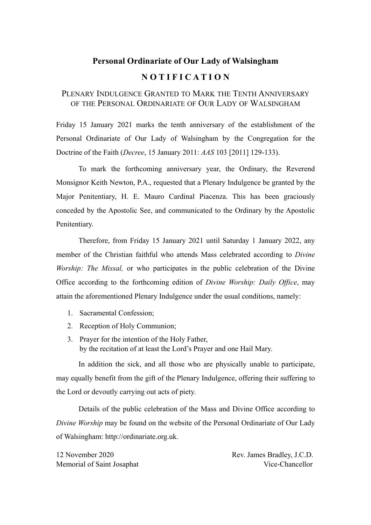## **Personal Ordinariate of Our Lady of Walsingham N O T I F I C A T I O N**

## PLENARY INDULGENCE GRANTED TO MARK THE TENTH ANNIVERSARY OF THE PERSONAL ORDINARIATE OF OUR LADY OF WALSINGHAM

Friday 15 January 2021 marks the tenth anniversary of the establishment of the Personal Ordinariate of Our Lady of Walsingham by the Congregation for the Doctrine of the Faith (*Decree*, 15 January 2011: *AAS* 103 [2011] 129-133).

 To mark the forthcoming anniversary year, the Ordinary, the Reverend Monsignor Keith Newton, P.A., requested that a Plenary Indulgence be granted by the Major Penitentiary, H. E. Mauro Cardinal Piacenza. This has been graciously conceded by the Apostolic See, and communicated to the Ordinary by the Apostolic Penitentiary.

 Therefore, from Friday 15 January 2021 until Saturday 1 January 2022, any member of the Christian faithful who attends Mass celebrated according to *Divine Worship: The Missal,* or who participates in the public celebration of the Divine Office according to the forthcoming edition of *Divine Worship: Daily Office*, may attain the aforementioned Plenary Indulgence under the usual conditions, namely:

- 1. Sacramental Confession;
- 2. Reception of Holy Communion;
- 3. Prayer for the intention of the Holy Father, by the recitation of at least the Lord's Prayer and one Hail Mary.

 In addition the sick, and all those who are physically unable to participate, may equally benefit from the gift of the Plenary Indulgence, offering their suffering to the Lord or devoutly carrying out acts of piety.

 Details of the public celebration of the Mass and Divine Office according to *Divine Worship* may be found on the website of the Personal Ordinariate of Our Lady of Walsingham: http://ordinariate.org.uk.

12 November 2020 Rev. James Bradley, J.C.D. Memorial of Saint Josaphat Vice-Chancellor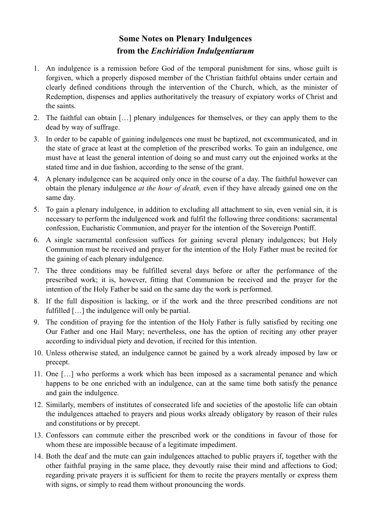## **Some Notes on Plenary Indulgences from the** *Enchiridion Indulgentiarum*

- 1. An indulgence is a remission before God of the temporal punishment for sins, whose guilt is forgiven, which a properly disposed member of the Christian faithful obtains under certain and clearly defined conditions through the intervention of the Church, which, as the minister of Redemption, dispenses and applies authoritatively the treasury of expiatory works of Christ and the saints.
- 2. The faithful can obtain […] plenary indulgences for themselves, or they can apply them to the dead by way of suffrage.
- 3. In order to be capable of gaining indulgences one must be baptized, not excommunicated, and in the state of grace at least at the completion of the prescribed works. To gain an indulgence, one must have at least the general intention of doing so and must carry out the enjoined works at the stated time and in due fashion, according to the sense of the grant.
- 4. A plenary indulgence can be acquired only once in the course of a day. The faithful however can obtain the plenary indulgence *at the hour of death,* even if they have already gained one on the same day.
- 5. To gain a plenary indulgence, in addition to excluding all attachment to sin, even venial sin, it is necessary to perform the indulgenced work and fulfil the following three conditions: sacramental confession, Eucharistic Communion, and prayer for the intention of the Sovereign Pontiff.
- 6. A single sacramental confession suffices for gaining several plenary indulgences; but Holy Communion must be received and prayer for the intention of the Holy Father must be recited for the gaining of each plenary indulgence.
- 7. The three conditions may be fulfilled several days before or after the performance of the prescribed work; it is, however, fitting that Communion be received and the prayer for the intention of the Holy Father be said on the same day the work is performed.
- 8. If the full disposition is lacking, or if the work and the three prescribed conditions are not fulfilled […] the indulgence will only be partial.
- 9. The condition of praying for the intention of the Holy Father is fully satisfied by reciting one Our Father and one Hail Mary; nevertheless, one has the option of reciting any other prayer according to individual piety and devotion, if recited for this intention.
- 10. Unless otherwise stated, an indulgence cannot be gained by a work already imposed by law or precept.
- 11. One […] who performs a work which has been imposed as a sacramental penance and which happens to be one enriched with an indulgence, can at the same time both satisfy the penance and gain the indulgence.
- 12. Similarly, members of institutes of consecrated life and societies of the apostolic life can obtain the indulgences attached to prayers and pious works already obligatory by reason of their rules and constitutions or by precept.
- 13. Confessors can commute either the prescribed work or the conditions in favour of those for whom these are impossible because of a legitimate impediment.
- 14. Both the deaf and the mute can gain indulgences attached to public prayers if, together with the other faithful praying in the same place, they devoutly raise their mind and affections to God; regarding private prayers it is sufficient for them to recite the prayers mentally or express them with signs, or simply to read them without pronouncing the words.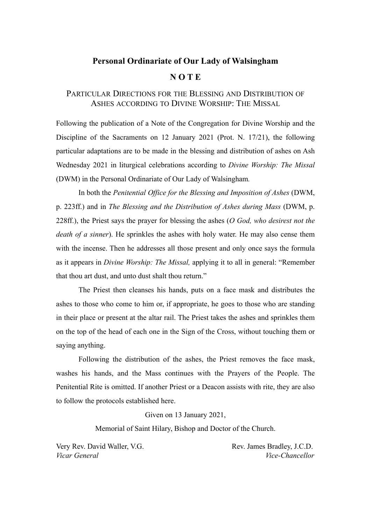### **Personal Ordinariate of Our Lady of Walsingham**

#### **N O T E**

## PARTICULAR DIRECTIONS FOR THE BLESSING AND DISTRIBUTION OF ASHES ACCORDING TO DIVINE WORSHIP: THE MISSAL

Following the publication of a Note of the Congregation for Divine Worship and the Discipline of the Sacraments on 12 January 2021 (Prot. N. 17/21), the following particular adaptations are to be made in the blessing and distribution of ashes on Ash Wednesday 2021 in liturgical celebrations according to *Divine Worship: The Missal*  (DWM) in the Personal Ordinariate of Our Lady of Walsingham*.* 

In both the *Penitential Office for the Blessing and Imposition of Ashes* (DWM, p. 223ff.) and in *The Blessing and the Distribution of Ashes during Mass* (DWM, p. 228ff.), the Priest says the prayer for blessing the ashes (*O God, who desirest not the death of a sinner*). He sprinkles the ashes with holy water. He may also cense them with the incense. Then he addresses all those present and only once says the formula as it appears in *Divine Worship: The Missal,* applying it to all in general: "Remember that thou art dust, and unto dust shalt thou return."

 The Priest then cleanses his hands, puts on a face mask and distributes the ashes to those who come to him or, if appropriate, he goes to those who are standing in their place or present at the altar rail. The Priest takes the ashes and sprinkles them on the top of the head of each one in the Sign of the Cross, without touching them or saying anything.

 Following the distribution of the ashes, the Priest removes the face mask, washes his hands, and the Mass continues with the Prayers of the People. The Penitential Rite is omitted. If another Priest or a Deacon assists with rite, they are also to follow the protocols established here.

Given on 13 January 2021,

Memorial of Saint Hilary, Bishop and Doctor of the Church.

Very Rev. David Waller, V.G. Rev. James Bradley, J.C.D. *Vicar General Vice-Chancellor*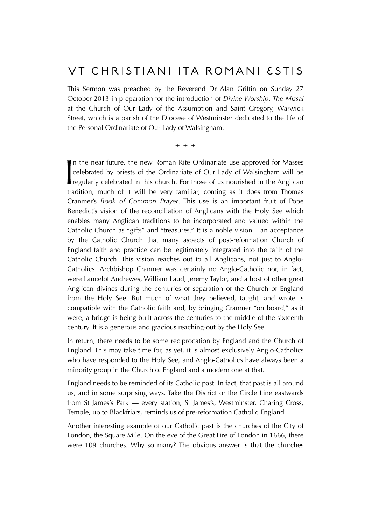## Ut Christiani ita Romani estis

This Sermon was preached by the Reverend Dr Alan Griffin on Sunday 27 October 2013 in preparation for the introduction of *Divine Worship: The Missal*  at the Church of Our Lady of the Assumption and Saint Gregory, Warwick Street, which is a parish of the Diocese of Westminster dedicated to the life of the Personal Ordinariate of Our Lady of Walsingham.

**☩ ☩ ☩**

 $\begin{bmatrix} 1 \\ 0 \\ 1 \end{bmatrix}$ n the near future, the new Roman Rite Ordinariate use approved for Masses celebrated by priests of the Ordinariate of Our Lady of Walsingham will be regularly celebrated in this church. For those of us nourished in the Anglican tradition, much of it will be very familiar, coming as it does from Thomas Cranmer's *Book of Common Prayer*. This use is an important fruit of Pope Benedict's vision of the reconciliation of Anglicans with the Holy See which enables many Anglican traditions to be incorporated and valued within the Catholic Church as "gifts" and "treasures." It is a noble vision – an acceptance by the Catholic Church that many aspects of post-reformation Church of England faith and practice can be legitimately integrated into the faith of the Catholic Church. This vision reaches out to all Anglicans, not just to Anglo-Catholics. Archbishop Cranmer was certainly no Anglo-Catholic nor, in fact, were Lancelot Andrewes, William Laud, Jeremy Taylor, and a host of other great Anglican divines during the centuries of separation of the Church of England from the Holy See. But much of what they believed, taught, and wrote is compatible with the Catholic faith and, by bringing Cranmer "on board," as it were, a bridge is being built across the centuries to the middle of the sixteenth century. It is a generous and gracious reaching-out by the Holy See.

In return, there needs to be some reciprocation by England and the Church of England. This may take time for, as yet, it is almost exclusively Anglo-Catholics who have responded to the Holy See, and Anglo-Catholics have always been a minority group in the Church of England and a modern one at that.

England needs to be reminded of its Catholic past. In fact, that past is all around us, and in some surprising ways. Take the District or the Circle Line eastwards from St James's Park — every station, St James's, Westminster, Charing Cross, Temple, up to Blackfriars, reminds us of pre-reformation Catholic England.

Another interesting example of our Catholic past is the churches of the City of London, the Square Mile. On the eve of the Great Fire of London in 1666, there were 109 churches. Why so many? The obvious answer is that the churches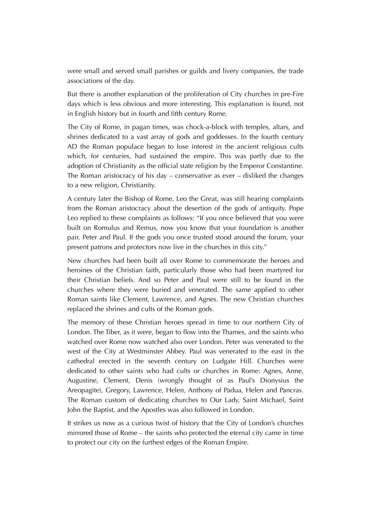were small and served small parishes or guilds and livery companies, the trade associations of the day.

But there is another explanation of the proliferation of City churches in pre-Fire days which is less obvious and more interesting. This explanation is found, not in English history but in fourth and fifth century Rome.

The City of Rome, in pagan times, was chock-a-block with temples, altars, and shrines dedicated to a vast array of gods and goddesses. In the fourth century AD the Roman populace began to lose interest in the ancient religious cults which, for centuries, had sustained the empire. This was partly due to the adoption of Christianity as the official state religion by the Emperor Constantine. The Roman aristocracy of his day – conservative as ever – disliked the changes to a new religion, Christianity.

A century later the Bishop of Rome, Leo the Great, was still hearing complaints from the Roman aristocracy about the desertion of the gods of antiquity. Pope Leo replied to these complaints as follows: "If you once believed that you were built on Romulus and Remus, now you know that your foundation is another pair, Peter and Paul. If the gods you once trusted stood around the forum, your present patrons and protectors now live in the churches in this city."

New churches had been built all over Rome to commemorate the heroes and heroines of the Christian faith, particularly those who had been martyred for their Christian beliefs. And so Peter and Paul were still to be found in the churches where they were buried and venerated. The same applied to other Roman saints like Clement, Lawrence, and Agnes. The new Christian churches replaced the shrines and cults of the Roman gods.

The memory of these Christian heroes spread in time to our northern City of London. The Tiber, as it were, began to flow into the Thames, and the saints who watched over Rome now watched also over London. Peter was venerated to the west of the City at Westminster Abbey. Paul was venerated to the east in the cathedral erected in the seventh century on Ludgate Hill. Churches were dedicated to other saints who had cults or churches in Rome: Agnes, Anne, Augustine, Clement, Denis (wrongly thought of as Paul's Dionysius the Areopagite), Gregory, Lawrence, Helen, Anthony of Padua, Helen and Pancras. The Roman custom of dedicating churches to Our Lady, Saint Michael, Saint John the Baptist, and the Apostles was also followed in London.

It strikes us now as a curious twist of history that the City of London's churches mirrored those of Rome – the saints who protected the eternal city came in time to protect our city on the furthest edges of the Roman Empire.